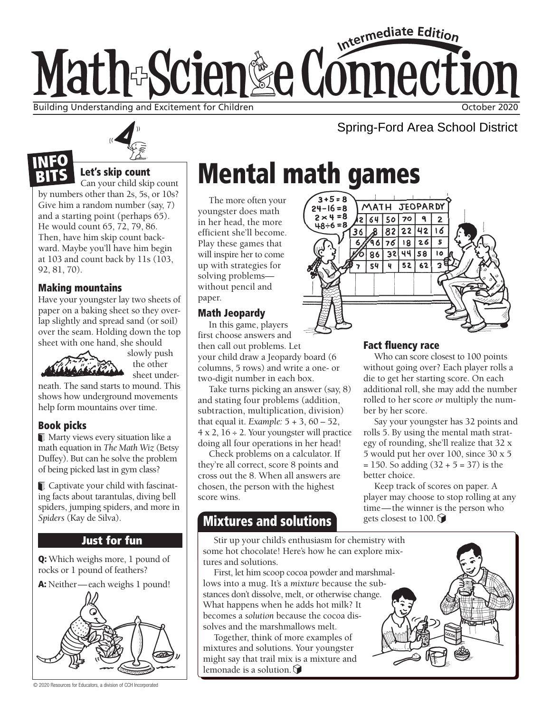# Intermediate Edition Math-Scien&e Connection Building Understanding and Excitement for Children **Children** Children Children October 2020

# Let's skip count

Can your child skip count by numbers other than 2s, 5s, or 10s? Give him a random number (say, 7) and a starting point (perhaps 65). He would count 65, 72, 79, 86. Then, have him skip count backward. Maybe you'll have him begin at 103 and count back by 11s (103, 92, 81, 70).

## Making mountains

NFO

Have your youngster lay two sheets of paper on a baking sheet so they overlap slightly and spread sand (or soil) over the seam. Holding down the top sheet with one hand, she should



slowly push the other sheet under-

neath. The sand starts to mound. This shows how underground movements help form mountains over time.

## Book picks

Marty views every situation like a math equation in *The Math Wiz* (Betsy Duffey). But can he solve the problem of being picked last in gym class?

Captivate your child with fascinating facts about tarantulas, diving bell spiders, jumping spiders, and more in *Spiders* (Kay de Silva).

## Just for fun

Q: Which weighs more, 1 pound of rocks or 1 pound of feathers?



© 2020 Resources for Educators, a division of CCH Incorporated

# Mental math games

The more often your youngster does math in her head, the more efficient she'll become. Play these games that will inspire her to come up with strategies for solving problems without pencil and paper.

## Math Jeopardy

In this game, players first choose answers and then call out problems. Let your child draw a Jeopardy board (6 columns, 5 rows) and write a one- or two-digit number in each box.

Take turns picking an answer (say, 8) and stating four problems (addition, subtraction, multiplication, division) that equal it. *Example:* 5 + 3, 60 – 52,  $4 \times 2$ ,  $16 \div 2$ . Your youngster will practice doing all four operations in her head!

Check problems on a calculator. If they're all correct, score 8 points and cross out the 8. When all answers are chosen, the person with the highest score wins.

# Mixtures and solutions

Stir up your child's enthusiasm for chemistry with some hot chocolate! Here's how he can explore mixtures and solutions.

First, let him scoop cocoa powder and marshmallows into a mug. It's a *mixture* because the substances don't dissolve, melt, or otherwise change. What happens when he adds hot milk? It becomes a *solution* because the cocoa dissolves and the marshmallows melt.

Together, think of more examples of mixtures and solutions. Your youngster might say that trail mix is a mixture and lemonade is a solution.  $\bigcirc$ 

#### $3 + 5 = 8$ MATH JEOPARDY  $24 - 16 = 8$  $2 \times 4 = 8$  $2645070$ ٩  $\overline{2}$ 82 22 42  $16$ 36  $967618$  $\overline{26}$  $\overline{86}$  $324458$  $\overline{10}$  $54$  $52$   $62$  $\mathbf{q}$

## Fact fluency race

Who can score closest to 100 points without going over? Each player rolls a die to get her starting score. On each additional roll, she may add the number rolled to her score *or* multiply the number by her score.

Say your youngster has 32 points and rolls 5. By using the mental math strategy of rounding, she'll realize that 32 x 5 would put her over 100, since 30 x 5  $= 150$ . So adding  $(32 + 5 = 37)$  is the better choice.

Keep track of scores on paper. A player may choose to stop rolling at any time—the winner is the person who gets closest to 100.



Spring-Ford Area School District